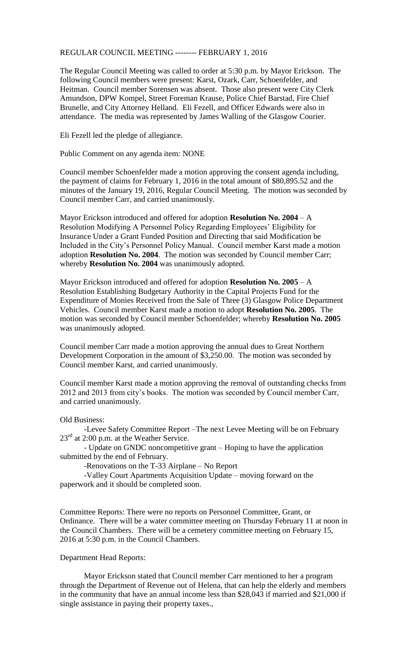## REGULAR COUNCIL MEETING -------- FEBRUARY 1, 2016

The Regular Council Meeting was called to order at 5:30 p.m. by Mayor Erickson. The following Council members were present: Karst, Ozark, Carr, Schoenfelder, and Heitman. Council member Sorensen was absent. Those also present were City Clerk Amundson, DPW Kompel, Street Foreman Krause, Police Chief Barstad, Fire Chief Brunelle, and City Attorney Helland. Eli Fezell, and Officer Edwards were also in attendance. The media was represented by James Walling of the Glasgow Courier.

Eli Fezell led the pledge of allegiance.

Public Comment on any agenda item: NONE

Council member Schoenfelder made a motion approving the consent agenda including, the payment of claims for February 1, 2016 in the total amount of \$80,895.52 and the minutes of the January 19, 2016, Regular Council Meeting. The motion was seconded by Council member Carr, and carried unanimously.

Mayor Erickson introduced and offered for adoption **Resolution No. 2004** – A Resolution Modifying A Personnel Policy Regarding Employees' Eligibility for Insurance Under a Grant Funded Position and Directing that said Modification be Included in the City's Personnel Policy Manual. Council member Karst made a motion adoption **Resolution No. 2004**. The motion was seconded by Council member Carr; whereby **Resolution No. 2004** was unanimously adopted.

Mayor Erickson introduced and offered for adoption **Resolution No. 2005** – A Resolution Establishing Budgetary Authority in the Capital Projects Fund for the Expenditure of Monies Received from the Sale of Three (3) Glasgow Police Department Vehicles. Council member Karst made a motion to adopt **Resolution No. 2005**. The motion was seconded by Council member Schoenfelder; whereby **Resolution No. 2005** was unanimously adopted.

Council member Carr made a motion approving the annual dues to Great Northern Development Corporation in the amount of \$3,250.00. The motion was seconded by Council member Karst, and carried unanimously.

Council member Karst made a motion approving the removal of outstanding checks from 2012 and 2013 from city's books. The motion was seconded by Council member Carr, and carried unanimously.

## Old Business:

-Levee Safety Committee Report –The next Levee Meeting will be on February  $23<sup>rd</sup>$  at 2:00 p.m. at the Weather Service.

- Update on GNDC noncompetitive grant – Hoping to have the application submitted by the end of February.

-Renovations on the T-33 Airplane – No Report

-Valley Court Apartments Acquisition Update – moving forward on the paperwork and it should be completed soon.

Committee Reports: There were no reports on Personnel Committee, Grant, or Ordinance. There will be a water committee meeting on Thursday February 11 at noon in the Council Chambers. There will be a cemetery committee meeting on February 15, 2016 at 5:30 p.m. in the Council Chambers.

## Department Head Reports:

Mayor Erickson stated that Council member Carr mentioned to her a program through the Department of Revenue out of Helena, that can help the elderly and members in the community that have an annual income less than \$28,043 if married and \$21,000 if single assistance in paying their property taxes.,